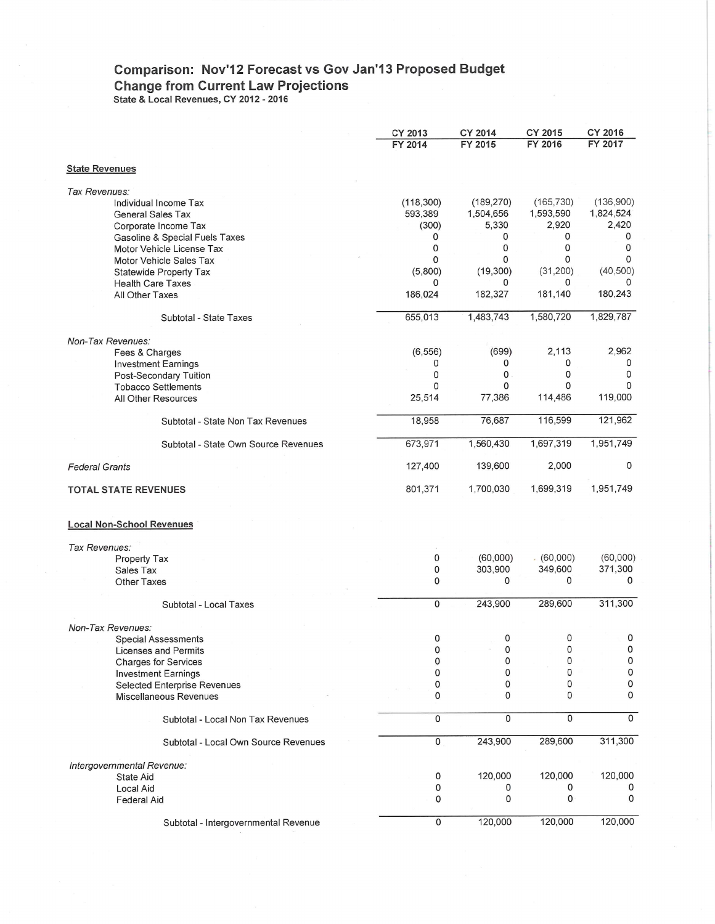## **Comparison: Nov'12 Forecast vs Gov Jan'13 Proposed Budget Change from Current Law Projections**

**State & Local Revenues, CY 2012 - 2016** 

|                                      | <b>CY 2013</b> | <b>CY 2014</b> | CY 2015      | CY 2016   |
|--------------------------------------|----------------|----------------|--------------|-----------|
|                                      | FY 2014        | FY 2015        | FY 2016      | FY 2017   |
|                                      |                |                |              |           |
| <b>State Revenues</b>                |                |                |              |           |
| Tax Revenues:                        |                |                |              |           |
| Individual Income Tax                | (118, 300)     | (189, 270)     | (165, 730)   | (136,900) |
| <b>General Sales Tax</b>             | 593,389        | 1,504,656      | 1,593,590    | 1,824,524 |
|                                      |                |                |              |           |
| Corporate Income Tax                 | (300)          | 5,330          | 2,920        | 2,420     |
| Gasoline & Special Fuels Taxes       | 0              | 0              | 0            | 0         |
| Motor Vehicle License Tax            | 0              | 0              | 0            | 0         |
| Motor Vehicle Sales Tax              | 0              | 0              | 0            | 0         |
| Statewide Property Tax               | (5,800)        | (19, 300)      | (31, 200)    | (40, 500) |
| <b>Health Care Taxes</b>             | 0              | 0              | 0            | 0         |
| All Other Taxes                      | 186,024        | 182,327        | 181,140      | 180,243   |
|                                      |                |                |              |           |
| Subtotal - State Taxes               | 655,013        | 1,483,743      | 1,580,720    | 1,829,787 |
| Non-Tax Revenues:                    |                |                |              |           |
|                                      |                |                |              |           |
| Fees & Charges                       | (6, 556)       | (699)          | 2,113        | 2,962     |
| <b>Investment Earnings</b>           | 0              | 0              | 0            | 0         |
| Post-Secondary Tuition               | 0              | 0              | 0            | 0         |
| <b>Tobacco Settlements</b>           | 0              | 0              | 0            | 0         |
| All Other Resources                  | 25,514         | 77,386         | 114,486      | 119,000   |
| Subtotal - State Non Tax Revenues    | 18,958         | 76,687         | 116,599      | 121,962   |
| Subtotal - State Own Source Revenues | 673,971        | 1,560,430      | 1,697,319    | 1,951,749 |
|                                      |                |                |              | 0         |
| <b>Federal Grants</b>                | 127,400        | 139,600        | 2,000        |           |
| <b>TOTAL STATE REVENUES</b>          | 801,371        | 1,700,030      | 1,699,319    | 1,951,749 |
| <b>Local Non-School Revenues</b>     |                |                |              |           |
|                                      |                |                |              |           |
| Tax Revenues:                        |                |                |              |           |
| Property Tax                         | 0              | (60,000)       | (60,000)     | (60,000)  |
| Sales Tax                            | 0              | 303,900        | 349,600      | 371,300   |
| <b>Other Taxes</b>                   | 0              | 0              | 0            | 0         |
|                                      |                |                |              |           |
| Subtotal - Local Taxes               | 0              | 243,900        | 289,600      | 311,300   |
| Non-Tax Revenues:                    |                |                |              |           |
|                                      |                |                |              |           |
| <b>Special Assessments</b>           | 0              | 0              | 0            | 0         |
| <b>Licenses and Permits</b>          | 0              | 0              | 0            | $\Omega$  |
| <b>Charges for Services</b>          | 0              | 0              | 0            | 0         |
| <b>Investment Earnings</b>           | 0              | 0              | 0            | 0         |
| <b>Selected Enterprise Revenues</b>  | 0              | 0              | 0            | 0         |
| Miscellaneous Revenues               | 0              | 0              | $\mathbf{0}$ | 0         |
|                                      | $\overline{0}$ | 0              | 0            | 0         |
| Subtotal - Local Non Tax Revenues    |                |                |              |           |
| Subtotal - Local Own Source Revenues | 0              | 243,900        | 289,600      | 311,300   |
| Intergovernmental Revenue:           |                |                |              |           |
| State Aid                            | 0              | 120,000        | 120,000      | 120,000   |
| Local Aid                            | 0              |                |              |           |
| <b>Federal Aid</b>                   | 0              | 0              | 0            | 0         |
|                                      |                |                |              |           |
| Subtotal - Intergovernmental Revenue | 0              | 120,000        | 120,000      | 120,000   |